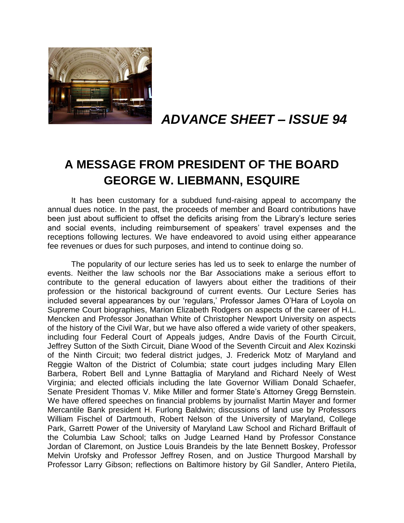

# *ADVANCE SHEET – ISSUE 94*

# **A MESSAGE FROM PRESIDENT OF THE BOARD GEORGE W. LIEBMANN, ESQUIRE**

It has been customary for a subdued fund-raising appeal to accompany the annual dues notice. In the past, the proceeds of member and Board contributions have been just about sufficient to offset the deficits arising from the Library's lecture series and social events, including reimbursement of speakers' travel expenses and the receptions following lectures. We have endeavored to avoid using either appearance fee revenues or dues for such purposes, and intend to continue doing so.

The popularity of our lecture series has led us to seek to enlarge the number of events. Neither the law schools nor the Bar Associations make a serious effort to contribute to the general education of lawyers about either the traditions of their profession or the historical background of current events. Our Lecture Series has included several appearances by our 'regulars,' Professor James O'Hara of Loyola on Supreme Court biographies, Marion Elizabeth Rodgers on aspects of the career of H.L. Mencken and Professor Jonathan White of Christopher Newport University on aspects of the history of the Civil War, but we have also offered a wide variety of other speakers, including four Federal Court of Appeals judges, Andre Davis of the Fourth Circuit, Jeffrey Sutton of the Sixth Circuit, Diane Wood of the Seventh Circuit and Alex Kozinski of the Ninth Circuit; two federal district judges, J. Frederick Motz of Maryland and Reggie Walton of the District of Columbia; state court judges including Mary Ellen Barbera, Robert Bell and Lynne Battaglia of Maryland and Richard Neely of West Virginia; and elected officials including the late Governor William Donald Schaefer, Senate President Thomas V. Mike Miller and former State's Attorney Gregg Bernstein. We have offered speeches on financial problems by journalist Martin Mayer and former Mercantile Bank president H. Furlong Baldwin; discussions of land use by Professors William Fischel of Dartmouth, Robert Nelson of the University of Maryland, College Park, Garrett Power of the University of Maryland Law School and Richard Briffault of the Columbia Law School; talks on Judge Learned Hand by Professor Constance Jordan of Claremont, on Justice Louis Brandeis by the late Bennett Boskey, Professor Melvin Urofsky and Professor Jeffrey Rosen, and on Justice Thurgood Marshall by Professor Larry Gibson; reflections on Baltimore history by Gil Sandler, Antero Pietila,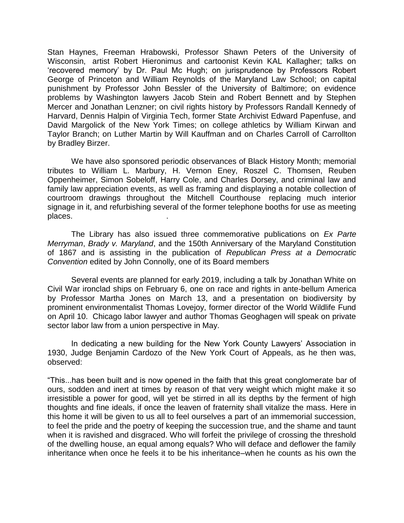Stan Haynes, Freeman Hrabowski, Professor Shawn Peters of the University of Wisconsin, artist Robert Hieronimus and cartoonist Kevin KAL Kallagher; talks on 'recovered memory' by Dr. Paul Mc Hugh; on jurisprudence by Professors Robert George of Princeton and William Reynolds of the Maryland Law School; on capital punishment by Professor John Bessler of the University of Baltimore; on evidence problems by Washington lawyers Jacob Stein and Robert Bennett and by Stephen Mercer and Jonathan Lenzner; on civil rights history by Professors Randall Kennedy of Harvard, Dennis Halpin of Virginia Tech, former State Archivist Edward Papenfuse, and David Margolick of the New York Times; on college athletics by William Kirwan and Taylor Branch; on Luther Martin by Will Kauffman and on Charles Carroll of Carrollton by Bradley Birzer.

We have also sponsored periodic observances of Black History Month; memorial tributes to William L. Marbury, H. Vernon Eney, Roszel C. Thomsen, Reuben Oppenheimer, Simon Sobeloff, Harry Cole, and Charles Dorsey, and criminal law and family law appreciation events, as well as framing and displaying a notable collection of courtroom drawings throughout the Mitchell Courthouse replacing much interior signage in it, and refurbishing several of the former telephone booths for use as meeting places. .

The Library has also issued three commemorative publications on *Ex Parte Merryman*, *Brady v. Maryland*, and the 150th Anniversary of the Maryland Constitution of 1867 and is assisting in the publication of *Republican Press at a Democratic Convention* edited by John Connolly, one of its Board members

Several events are planned for early 2019, including a talk by Jonathan White on Civil War ironclad ships on February 6, one on race and rights in ante-bellum America by Professor Martha Jones on March 13, and a presentation on biodiversity by prominent environmentalist Thomas Lovejoy, former director of the World Wildlife Fund on April 10. Chicago labor lawyer and author Thomas Geoghagen will speak on private sector labor law from a union perspective in May.

In dedicating a new building for the New York County Lawyers' Association in 1930, Judge Benjamin Cardozo of the New York Court of Appeals, as he then was, observed:

"This...has been built and is now opened in the faith that this great conglomerate bar of ours, sodden and inert at times by reason of that very weight which might make it so irresistible a power for good, will yet be stirred in all its depths by the ferment of high thoughts and fine ideals, if once the leaven of fraternity shall vitalize the mass. Here in this home it will be given to us all to feel ourselves a part of an immemorial succession, to feel the pride and the poetry of keeping the succession true, and the shame and taunt when it is ravished and disgraced. Who will forfeit the privilege of crossing the threshold of the dwelling house, an equal among equals? Who will deface and deflower the family inheritance when once he feels it to be his inheritance–when he counts as his own the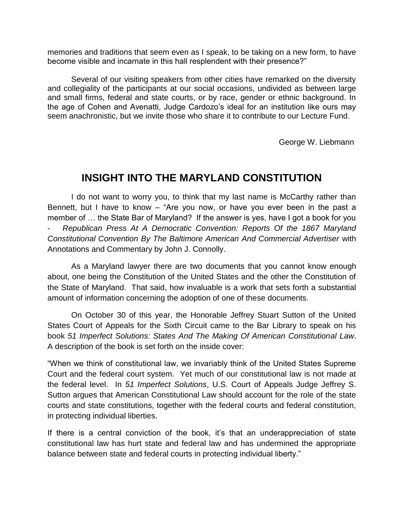memories and traditions that seem even as I speak, to be taking on a new form, to have become visible and incarnate in this hall resplendent with their presence?"

Several of our visiting speakers from other cities have remarked on the diversity and collegiality of the participants at our social occasions, undivided as between large and small firms, federal and state courts, or by race, gender or ethnic background. In the age of Cohen and Avenatti, Judge Cardozo's ideal for an institution like ours may seem anachronistic, but we invite those who share it to contribute to our Lecture Fund.

George W. Liebmann

### **INSIGHT INTO THE MARYLAND CONSTITUTION**

I do not want to worry you, to think that my last name is McCarthy rather than Bennett, but I have to know – "Are you now, or have you ever been in the past a member of … the State Bar of Maryland? If the answer is yes, have I got a book for you - *Republican Press At A Democratic Convention: Reports Of the 1867 Maryland Constitutional Convention By The Baltimore American And Commercial Advertiser* with Annotations and Commentary by John J. Connolly.

As a Maryland lawyer there are two documents that you cannot know enough about, one being the Constitution of the United States and the other the Constitution of the State of Maryland. That said, how invaluable is a work that sets forth a substantial amount of information concerning the adoption of one of these documents.

On October 30 of this year, the Honorable Jeffrey Stuart Sutton of the United States Court of Appeals for the Sixth Circuit came to the Bar Library to speak on his book *51 Imperfect Solutions: States And The Making Of American Constitutional Law*. A description of the book is set forth on the inside cover:

"When we think of constitutional law, we invariably think of the United States Supreme Court and the federal court system. Yet much of our constitutional law is not made at the federal level. In *51 Imperfect Solutions*, U.S. Court of Appeals Judge Jeffrey S. Sutton argues that American Constitutional Law should account for the role of the state courts and state constitutions, together with the federal courts and federal constitution, in protecting individual liberties.

If there is a central conviction of the book, it's that an underappreciation of state constitutional law has hurt state and federal law and has undermined the appropriate balance between state and federal courts in protecting individual liberty."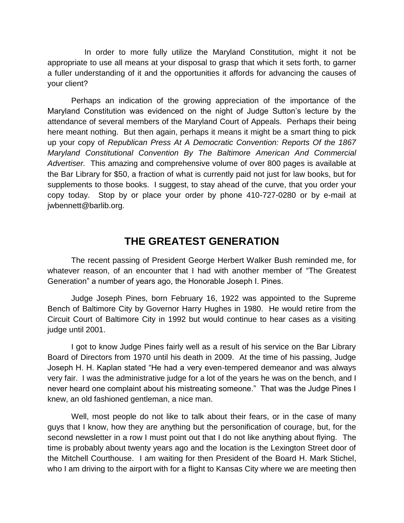In order to more fully utilize the Maryland Constitution, might it not be appropriate to use all means at your disposal to grasp that which it sets forth, to garner a fuller understanding of it and the opportunities it affords for advancing the causes of your client?

Perhaps an indication of the growing appreciation of the importance of the Maryland Constitution was evidenced on the night of Judge Sutton's lecture by the attendance of several members of the Maryland Court of Appeals. Perhaps their being here meant nothing. But then again, perhaps it means it might be a smart thing to pick up your copy of *Republican Press At A Democratic Convention: Reports Of the 1867 Maryland Constitutional Convention By The Baltimore American And Commercial Advertiser.* This amazing and comprehensive volume of over 800 pages is available at the Bar Library for \$50, a fraction of what is currently paid not just for law books, but for supplements to those books. I suggest, to stay ahead of the curve, that you order your copy today. Stop by or place your order by phone 410-727-0280 or by e-mail at jwbennett@barlib.org.

### **THE GREATEST GENERATION**

The recent passing of President George Herbert Walker Bush reminded me, for whatever reason, of an encounter that I had with another member of "The Greatest Generation" a number of years ago, the Honorable Joseph I. Pines.

Judge Joseph Pines, born February 16, 1922 was appointed to the Supreme Bench of Baltimore City by Governor Harry Hughes in 1980. He would retire from the Circuit Court of Baltimore City in 1992 but would continue to hear cases as a visiting judge until 2001.

I got to know Judge Pines fairly well as a result of his service on the Bar Library Board of Directors from 1970 until his death in 2009. At the time of his passing, Judge Joseph H. H. Kaplan stated "He had a very even-tempered demeanor and was always very fair. I was the administrative judge for a lot of the years he was on the bench, and I never heard one complaint about his mistreating someone." That was the Judge Pines I knew, an old fashioned gentleman, a nice man.

Well, most people do not like to talk about their fears, or in the case of many guys that I know, how they are anything but the personification of courage, but, for the second newsletter in a row I must point out that I do not like anything about flying. The time is probably about twenty years ago and the location is the Lexington Street door of the Mitchell Courthouse. I am waiting for then President of the Board H. Mark Stichel, who I am driving to the airport with for a flight to Kansas City where we are meeting then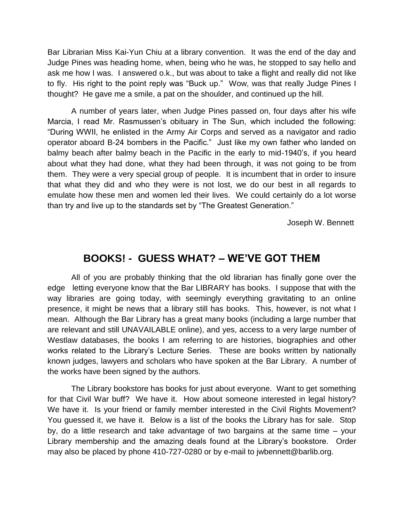Bar Librarian Miss Kai-Yun Chiu at a library convention. It was the end of the day and Judge Pines was heading home, when, being who he was, he stopped to say hello and ask me how I was. I answered o.k., but was about to take a flight and really did not like to fly. His right to the point reply was "Buck up." Wow, was that really Judge Pines I thought? He gave me a smile, a pat on the shoulder, and continued up the hill.

A number of years later, when Judge Pines passed on, four days after his wife Marcia, I read Mr. Rasmussen's obituary in The Sun, which included the following: "During WWII, he enlisted in the Army Air Corps and served as a navigator and radio operator aboard B-24 bombers in the Pacific." Just like my own father who landed on balmy beach after balmy beach in the Pacific in the early to mid-1940's, if you heard about what they had done, what they had been through, it was not going to be from them. They were a very special group of people. It is incumbent that in order to insure that what they did and who they were is not lost, we do our best in all regards to emulate how these men and women led their lives. We could certainly do a lot worse than try and live up to the standards set by "The Greatest Generation."

Joseph W. Bennett

### **BOOKS! - GUESS WHAT? – WE'VE GOT THEM**

All of you are probably thinking that the old librarian has finally gone over the edge letting everyone know that the Bar LIBRARY has books. I suppose that with the way libraries are going today, with seemingly everything gravitating to an online presence, it might be news that a library still has books. This, however, is not what I mean. Although the Bar Library has a great many books (including a large number that are relevant and still UNAVAILABLE online), and yes, access to a very large number of Westlaw databases, the books I am referring to are histories, biographies and other works related to the Library's Lecture Series. These are books written by nationally known judges, lawyers and scholars who have spoken at the Bar Library. A number of the works have been signed by the authors.

The Library bookstore has books for just about everyone. Want to get something for that Civil War buff? We have it. How about someone interested in legal history? We have it. Is your friend or family member interested in the Civil Rights Movement? You guessed it, we have it. Below is a list of the books the Library has for sale. Stop by, do a little research and take advantage of two bargains at the same time – your Library membership and the amazing deals found at the Library's bookstore. Order may also be placed by phone 410-727-0280 or by e-mail to jwbennett@barlib.org.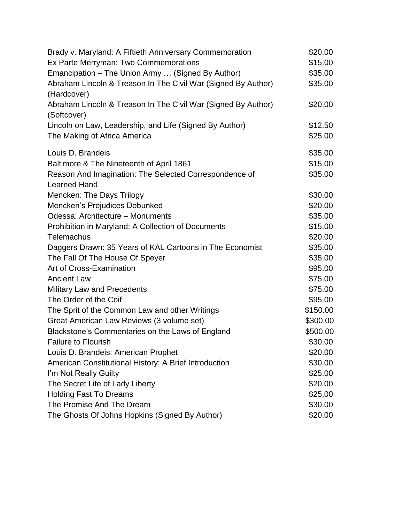| Brady v. Maryland: A Fiftieth Anniversary Commemoration       | \$20.00  |
|---------------------------------------------------------------|----------|
| Ex Parte Merryman: Two Commemorations                         | \$15.00  |
| Emancipation - The Union Army  (Signed By Author)             | \$35.00  |
| Abraham Lincoln & Treason In The Civil War (Signed By Author) | \$35.00  |
| (Hardcover)                                                   |          |
| Abraham Lincoln & Treason In The Civil War (Signed By Author) | \$20.00  |
| (Softcover)                                                   |          |
| Lincoln on Law, Leadership, and Life (Signed By Author)       | \$12.50  |
| The Making of Africa America                                  | \$25.00  |
| Louis D. Brandeis                                             | \$35.00  |
| Baltimore & The Nineteenth of April 1861                      | \$15.00  |
| Reason And Imagination: The Selected Correspondence of        | \$35.00  |
| <b>Learned Hand</b>                                           |          |
| Mencken: The Days Trilogy                                     | \$30.00  |
| Mencken's Prejudices Debunked                                 | \$20.00  |
| Odessa: Architecture - Monuments                              | \$35.00  |
| Prohibition in Maryland: A Collection of Documents            | \$15.00  |
| Telemachus                                                    | \$20.00  |
| Daggers Drawn: 35 Years of KAL Cartoons in The Economist      | \$35.00  |
| The Fall Of The House Of Speyer                               | \$35.00  |
| Art of Cross-Examination                                      | \$95.00  |
| <b>Ancient Law</b>                                            | \$75.00  |
| <b>Military Law and Precedents</b>                            | \$75.00  |
| The Order of the Coif                                         | \$95.00  |
| The Sprit of the Common Law and other Writings                | \$150.00 |
| Great American Law Reviews (3 volume set)                     | \$300.00 |
| Blackstone's Commentaries on the Laws of England              | \$500.00 |
| <b>Failure to Flourish</b>                                    | \$30.00  |
| Louis D. Brandeis: American Prophet                           | \$20.00  |
| American Constitutional History: A Brief Introduction         | \$30.00  |
| I'm Not Really Guilty                                         | \$25.00  |
| The Secret Life of Lady Liberty                               | \$20.00  |
| <b>Holding Fast To Dreams</b>                                 | \$25.00  |
| The Promise And The Dream                                     | \$30.00  |
| The Ghosts Of Johns Hopkins (Signed By Author)                | \$20.00  |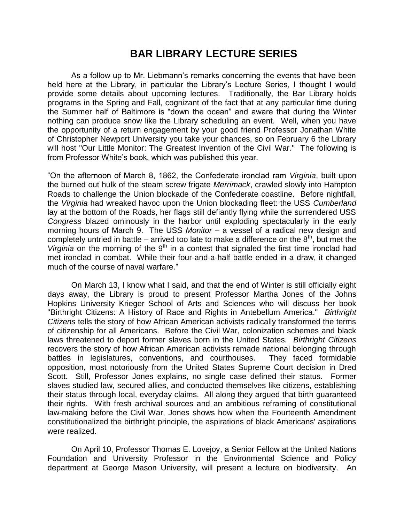## **BAR LIBRARY LECTURE SERIES**

As a follow up to Mr. Liebmann's remarks concerning the events that have been held here at the Library, in particular the Library's Lecture Series, I thought I would provide some details about upcoming lectures. Traditionally, the Bar Library holds programs in the Spring and Fall, cognizant of the fact that at any particular time during the Summer half of Baltimore is "down the ocean" and aware that during the Winter nothing can produce snow like the Library scheduling an event. Well, when you have the opportunity of a return engagement by your good friend Professor Jonathan White of Christopher Newport University you take your chances, so on February 6 the Library will host "Our Little Monitor: The Greatest Invention of the Civil War." The following is from Professor White's book, which was published this year.

"On the afternoon of March 8, 1862, the Confederate ironclad ram *Virginia*, built upon the burned out hulk of the steam screw frigate *Merrimack*, crawled slowly into Hampton Roads to challenge the Union blockade of the Confederate coastline. Before nightfall, the *Virginia* had wreaked havoc upon the Union blockading fleet: the USS *Cumberland* lay at the bottom of the Roads, her flags still defiantly flying while the surrendered USS *Congress* blazed ominously in the harbor until exploding spectacularly in the early morning hours of March 9. The USS *Monitor* – a vessel of a radical new design and completely untried in battle – arrived too late to make a difference on the  $8<sup>th</sup>$ , but met the *Virginia* on the morning of the 9<sup>th</sup> in a contest that signaled the first time ironclad had met ironclad in combat. While their four-and-a-half battle ended in a draw, it changed much of the course of naval warfare."

On March 13, I know what I said, and that the end of Winter is still officially eight days away, the Library is proud to present Professor Martha Jones of the Johns Hopkins University Krieger School of Arts and Sciences who will discuss her book "Birthright Citizens: A History of Race and Rights in Antebellum America." *Birthright Citizens* tells the story of how African American activists radically transformed the terms of citizenship for all Americans. Before the Civil War, colonization schemes and black laws threatened to deport former slaves born in the United States. *Birthright Citizens* recovers the story of how African American activists remade national belonging through battles in legislatures, conventions, and courthouses. They faced formidable opposition, most notoriously from the United States Supreme Court decision in Dred Scott. Still, Professor Jones explains, no single case defined their status. Former slaves studied law, secured allies, and conducted themselves like citizens, establishing their status through local, everyday claims. All along they argued that birth guaranteed their rights. With fresh archival sources and an ambitious reframing of constitutional law-making before the Civil War, Jones shows how when the Fourteenth Amendment constitutionalized the birthright principle, the aspirations of black Americans' aspirations were realized.

On April 10, Professor Thomas E. Lovejoy, a Senior Fellow at the United Nations Foundation and University Professor in the Environmental Science and Policy department at George Mason University, will present a lecture on biodiversity. An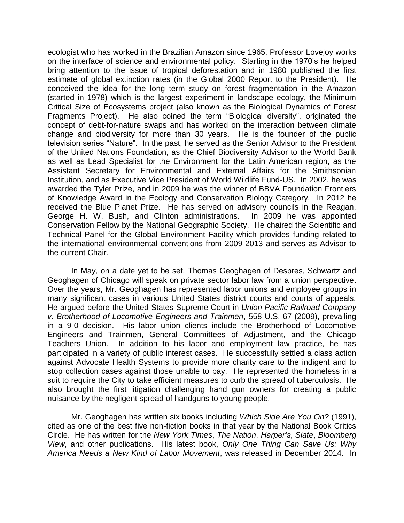ecologist who has worked in the Brazilian Amazon since 1965, Professor Lovejoy works on the interface of science and environmental policy. Starting in the 1970's he helped bring attention to the issue of tropical deforestation and in 1980 published the first estimate of global extinction rates (in the Global 2000 Report to the President). He conceived the idea for the long term study on forest fragmentation in the Amazon (started in 1978) which is the largest experiment in landscape ecology, the Minimum Critical Size of Ecosystems project (also known as the Biological Dynamics of Forest Fragments Project). He also coined the term "Biological diversity", originated the concept of debt-for-nature swaps and has worked on the interaction between climate change and biodiversity for more than 30 years. He is the founder of the public television series "Nature". In the past, he served as the Senior Advisor to the President of the United Nations Foundation, as the Chief Biodiversity Advisor to the World Bank as well as Lead Specialist for the Environment for the Latin American region, as the Assistant Secretary for Environmental and External Affairs for the Smithsonian Institution, and as Executive Vice President of World Wildlife Fund-US. In 2002, he was awarded the Tyler Prize, and in 2009 he was the winner of BBVA Foundation Frontiers of Knowledge Award in the Ecology and Conservation Biology Category. In 2012 he received the Blue Planet Prize. He has served on advisory councils in the Reagan, George H. W. Bush, and Clinton administrations. In 2009 he was appointed Conservation Fellow by the National Geographic Society. He chaired the Scientific and Technical Panel for the Global Environment Facility which provides funding related to the international environmental conventions from 2009-2013 and serves as Advisor to the current Chair.

In May, on a date yet to be set, Thomas Geoghagen of Despres, Schwartz and Geoghagen of Chicago will speak on private sector labor law from a union perspective. Over the years, Mr. Geoghagen has represented labor unions and employee groups in many significant cases in various United States district courts and courts of appeals. He argued before the United States Supreme Court in *Union Pacific Railroad Company v. Brotherhood of Locomotive Engineers and Trainmen*, 558 U.S. 67 (2009), prevailing in a 9-0 [decision.](http://www.supremecourt.gov/opinions/09pdf/08-604.pdf) His labor union clients include the Brotherhood of Locomotive Engineers and Trainmen, General Committees of Adjustment, and the Chicago Teachers Union. In addition to his labor and employment law practice, he has participated in a variety of public interest cases. He successfully settled a class action against Advocate Health Systems to provide more charity care to the indigent and to stop collection cases against those unable to pay. He represented the homeless in a suit to require the City to take efficient measures to curb the spread of tuberculosis. He also brought the first litigation challenging hand gun owners for creating a public nuisance by the negligent spread of handguns to young people.

Mr. Geoghagen has written six books including *Which Side Are You On?* (1991), cited as one of the best five non-fiction books in that year by the National Book Critics Circle. He has written for the *New York Times*, *The Nation*, *Harper's*, *Slate*, *Bloomberg View*, and other publications. His latest book, *Only One Thing Can Save Us: Why America Needs a New Kind of Labor Movement*, was released in December 2014. In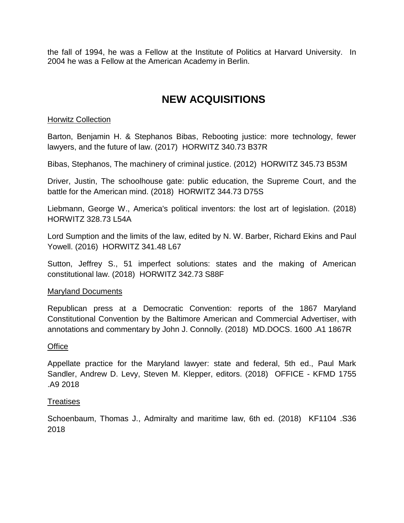the fall of 1994, he was a Fellow at the Institute of Politics at Harvard University. In 2004 he was a Fellow at the American Academy in Berlin.

## **NEW ACQUISITIONS**

### **Horwitz Collection**

Barton, Benjamin H. & Stephanos Bibas, Rebooting justice: more technology, fewer lawyers, and the future of law. (2017) HORWITZ 340.73 B37R

Bibas, Stephanos, The machinery of criminal justice. (2012) HORWITZ 345.73 B53M

Driver, Justin, The schoolhouse gate: public education, the Supreme Court, and the battle for the American mind. (2018) HORWITZ 344.73 D75S

Liebmann, George W., America's political inventors: the lost art of legislation. (2018) HORWITZ 328.73 L54A

Lord Sumption and the limits of the law, edited by N. W. Barber, Richard Ekins and Paul Yowell. (2016) HORWITZ 341.48 L67

Sutton, Jeffrey S., 51 imperfect solutions: states and the making of American constitutional law. (2018) HORWITZ 342.73 S88F

#### Maryland Documents

Republican press at a Democratic Convention: reports of the 1867 Maryland Constitutional Convention by the Baltimore American and Commercial Advertiser, with annotations and commentary by John J. Connolly. (2018) MD.DOCS. 1600 .A1 1867R

#### **Office**

Appellate practice for the Maryland lawyer: state and federal, 5th ed., Paul Mark Sandler, Andrew D. Levy, Steven M. Klepper, editors. (2018) OFFICE - KFMD 1755 .A9 2018

#### **Treatises**

Schoenbaum, Thomas J., Admiralty and maritime law, 6th ed. (2018) KF1104 .S36 2018